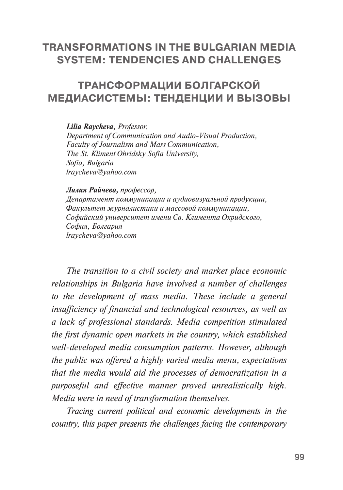## **TRANSFORMATIONS IN THE BULGARIAN MEDIA SYSTEM: TENDENCIES AND CHALLENGES**

## **ТРАНСФОРМАЦИИ БОЛГАРСКОЙ МЕДИАСИСТЕМЬІ: ТЕНДЕНЦИИ И ВЬІЗОВЬІ**

*Lilia Raycheva, Professor,* 

*Department of Communication and Audio-Visual Production, Faculty of Journalism and Mass Communication, The St. Kliment Ohridsky Sofia University, Sofia, Bulgaria [lraycheva@yahoo.com](mailto:lraycheva@yahoo.com)*

*Лилия Райчева, профессор, Департамент коммуникации и аудиовизуальной продукции, Факультет журналистики и массовой коммуникации, Софийский университет имени Св. Климента Охридского, София, Болгария [lraycheva@yahoo.com](file:///I:/BOOK_Nonna/World_of_Media_2017/ )*

*The transition to a civil society and market place economic relationships in Bulgaria have involved a number of challenges to the development of mass media. These include a general insufficiency of financial and technological resources, as well as a lack of professional standards. Media competition stimulated the first dynamic open markets in the country, which established well-developed media consumption patterns. However, although the public was offered a highly varied media menu, expectations that the media would aid the processes of democratization in a purposeful and effective manner proved unrealistically high. Media were in need of transformation themselves.*

*Tracing current political and economic developments in the country, this paper presents the challenges facing the contemporary*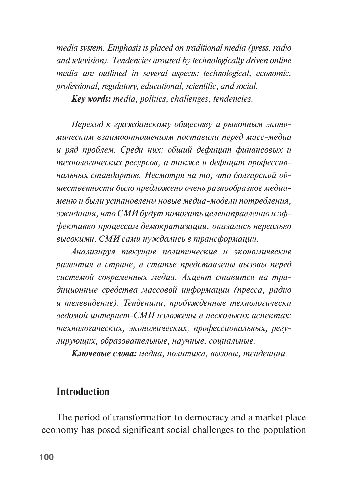*media system. Emphasis is placed on traditional media (press, radio and television). Tendencies aroused by technologically driven online media are outlined in several aspects: technological, economic, professional, regulatory, educational, scientific, and social.*

*Key words: media, politics, challenges, tendencies.*

*Переход к гражданскому обществу и рыночным экономическим взаимоотношениям поставили перед масс-медиа и ряд проблем. Среди них: общий дефицит финансовых и технологических ресурсов, а также и дефицит профессиональных стандартов. Несмотря на то, что болгарской общественности было предложено очень разнообразное медиаменю и были установлены новые медиа-модели потребления, ожидания, что СМИ будут помогать целенаправленно и эффективно процессам демократизации, оказались нереально высокими. СМИ сами нуждались в трансформации.* 

*Анализируя текущие политические и экономические развития в стране, в статье представлены вызовы перед системой современных медиа. Акцент ставится на традиционные средства массовой информации (пресса, радио и телевидение). Тенденции, пробужденные технологически ведомой интернет-СМИ изложены в нескольких аспектах: технологических, экономических, профессиональных, регулирующих, образовательные, научные, социальные.*

*Ключевые слова: медиа, политика, вызовы, тенденции.*

## **Introduction**

The period of transformation to democracy and a market place economy has posed significant social challenges to the population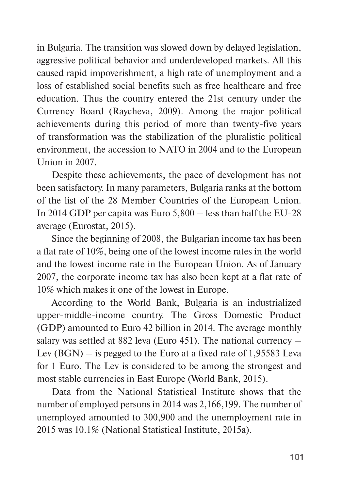in Bulgaria. The transition was slowed down by delayed legislation, aggressive political behavior and underdeveloped markets. All this caused rapid impoverishment, a high rate of unemployment and a loss of established social benefits such as free healthcare and free education. Thus the country entered the 21st century under the Currency Board (Raycheva, 2009). Among the major political achievements during this period of more than twenty-five years of transformation was the stabilization of the pluralistic political environment, the accession to NATO in 2004 and to the European Union in 2007.

Despite these achievements, the pace of development has not been satisfactory. In many parameters, Bulgaria ranks at the bottom of the list of the 28 Member Countries of the European Union. In 2014 GDP per capita was Euro 5,800 – less than half the EU-28 average (Eurostat, 2015).

Since the beginning of 2008, the Bulgarian income tax has been a flat rate of 10%, being one of the lowest income rates in the world and the lowest income rate in the European Union. As of January 2007, the corporate income tax has also been kept at a flat rate of 10% which makes it one of the lowest in Europe.

According to the World Bank, Bulgaria is an industrialized upper-middle-income country. The Gross Domestic Product (GDP) amounted to Euro 42 billion in 2014. The average monthly salary was settled at 882 leva (Euro 451). The national currency – Lev (BGN) – is pegged to the Euro at a fixed rate of 1,95583 Leva for 1 Euro. The Lev is considered to be among the strongest and most stable currencies in East Europe (World Bank, 2015).

Data from the National Statistical Institute shows that the number of employed persons in 2014 was 2,166,199. The number of unemployed amounted to 300,900 and the unemployment rate in 2015 was 10.1% (National Statistical Institute, 2015a).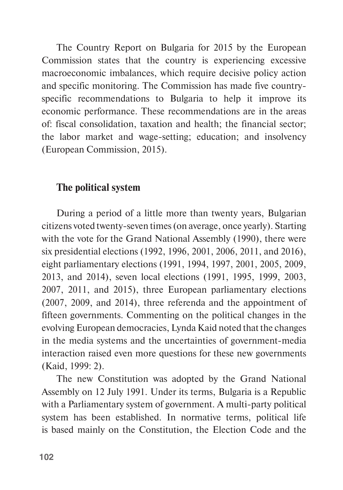The Country Report on Bulgaria for 2015 by the European Commission states that the country is experiencing excessive macroeconomic imbalances, which require decisive policy action and specific monitoring. The Commission has made five countryspecific recommendations to Bulgaria to help it improve its economic performance. These recommendations are in the areas of: fiscal consolidation, taxation and health; the financial sector; the labor market and wage-setting; education; and insolvency (European Commission, 2015).

### **The political system**

During a period of a little more than twenty years, Bulgarian citizens voted twenty-seven times (on average, once yearly). Starting with the vote for the Grand National Assembly (1990), there were six presidential elections (1992, 1996, 2001, 2006, 2011, and 2016), eight parliamentary elections (1991, 1994, 1997, 2001, 2005, 2009, 2013, and 2014), seven local elections (1991, 1995, 1999, 2003, 2007, 2011, and 2015), three European parliamentary elections (2007, 2009, and 2014), three referenda and the appointment of fifteen governments. Commenting on the political changes in the evolving European democracies, Lynda Kaid noted that the changes in the media systems and the uncertainties of government-media interaction raised even more questions for these new governments (Kaid, 1999: 2).

The new Constitution was adopted by the Grand National Assembly on 12 July 1991. Under its terms, Bulgaria is a Republic with a Parliamentary system of government. A multi-party political system has been established. In normative terms, political life is based mainly on the Constitution, the Election Code and the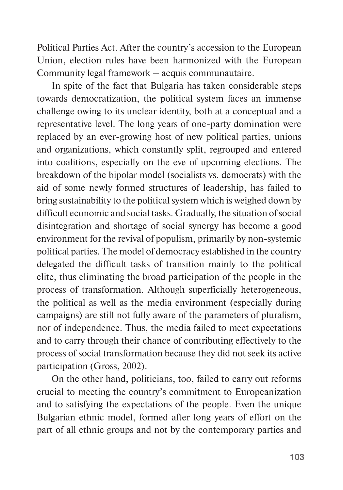Political Parties Act. After the country's accession to the European Union, election rules have been harmonized with the European Community legal framework – acquis communautaire.

In spite of the fact that Bulgaria has taken considerable steps towards democratization, the political system faces an immense challenge owing to its unclear identity, both at a conceptual and a representative level. The long years of one-party domination were replaced by an ever-growing host of new political parties, unions and organizations, which constantly split, regrouped and entered into coalitions, especially on the eve of upcoming elections. The breakdown of the bipolar model (socialists vs. democrats) with the aid of some newly formed structures of leadership, has failed to bring sustainability to the political system which is weighed down by difficult economic and social tasks. Gradually, the situation of social disintegration and shortage of social synergy has become a good environment for the revival of populism, primarily by non-systemic political parties. The model of democracy established in the country delegated the difficult tasks of transition mainly to the political elite, thus eliminating the broad participation of the people in the process of transformation. Although superficially heterogeneous, the political as well as the media environment (especially during campaigns) are still not fully aware of the parameters of pluralism, nor of independence. Thus, the media failed to meet expectations and to carry through their chance of contributing effectively to the process of social transformation because they did not seek its active participation (Gross, 2002).

On the other hand, politicians, too, failed to carry out reforms crucial to meeting the country's commitment to Europeanization and to satisfying the expectations of the people. Even the unique Bulgarian ethnic model, formed after long years of effort on the part of all ethnic groups and not by the contemporary parties and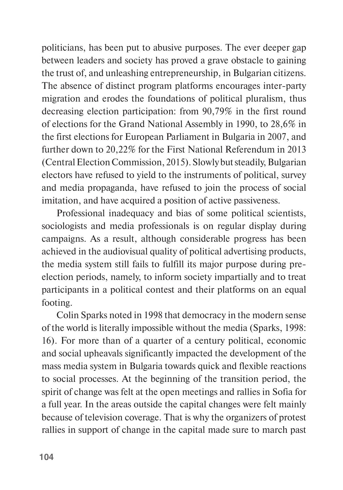politicians, has been put to abusive purposes. The ever deeper gap between leaders and society has proved a grave obstacle to gaining the trust of, and unleashing entrepreneurship, in Bulgarian citizens. The absence of distinct program platforms encourages inter-party migration and erodes the foundations of political pluralism, thus decreasing election participation: from 90,79% in the first round of elections for the Grand National Assembly in 1990, to 28,6% in the first elections for European Parliament in Bulgaria in 2007, and further down to 20,22% for the First National Referendum in 2013 (Central Election Commission, 2015). Slowly but steadily, Bulgarian electors have refused to yield to the instruments of political, survey and media propaganda, have refused to join the process of social imitation, and have acquired a position of active passiveness.

Professional inadequacy and bias of some political scientists, sociologists and media professionals is on regular display during campaigns. As a result, although considerable progress has been achieved in the audiovisual quality of political advertising products, the media system still fails to fulfill its major purpose during preelection periods, namely, to inform society impartially and to treat participants in a political contest and their platforms on an equal footing.

Colin Sparks noted in 1998 that democracy in the modern sense of the world is literally impossible without the media (Sparks, 1998: 16). For more than of a quarter of a century political, economic and social upheavals significantly impacted the development of the mass media system in Bulgaria towards quick and flexible reactions to social processes. At the beginning of the transition period, the spirit of change was felt at the open meetings and rallies in Sofia for a full year. In the areas outside the capital changes were felt mainly because of television coverage. That is why the organizers of protest rallies in support of change in the capital made sure to march past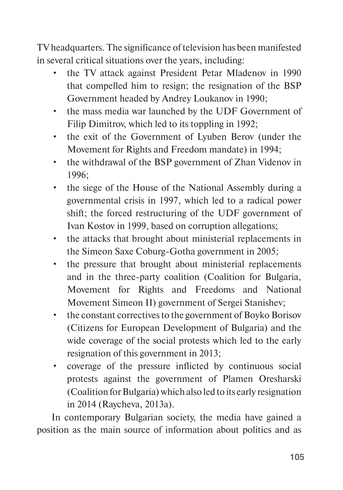TV headquarters. The significance of television has been manifested in several critical situations over the years, including:

- the TV attack against President Petar Mladenov in 1990 that compelled him to resign; the resignation of the BSP Government headed by Andrey Loukanov in 1990;
- the mass media war launched by the UDF Government of Filip Dimitrov, which led to its toppling in 1992;
- the exit of the Government of Lyuben Berov (under the Movement for Rights and Freedom mandate) in 1994;
- the withdrawal of the BSP government of Zhan Videnov in 1996;
- the siege of the House of the National Assembly during a governmental crisis in 1997, which led to a radical power shift; the forced restructuring of the UDF government of Ivan Kostov in 1999, based on corruption allegations;
- the attacks that brought about ministerial replacements in the Simeon Saxe Coburg-Gotha government in 2005;
- the pressure that brought about ministerial replacements and in the three-party coalition (Coalition for Bulgaria, Movement for Rights and Freedoms and National Movement Simeon II) government of Sergei Stanishev;
- the constant correctives to the government of Boyko Borisov (Citizens for European Development of Bulgaria) and the wide coverage of the social protests which led to the early resignation of this government in 2013;
- coverage of the pressure inflicted by continuous social protests against the government of Plamen Oresharski (Coalition for Bulgaria) which also led to its early resignation in 2014 (Raycheva, 2013a).

In contemporary Bulgarian society, the media have gained a position as the main source of information about politics and as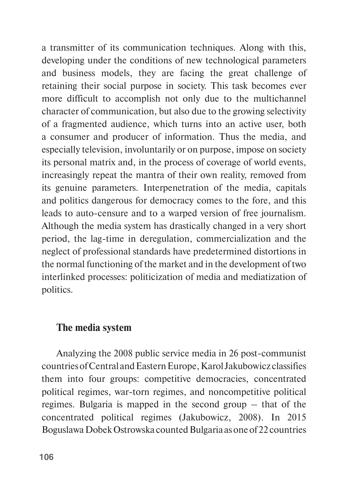a transmitter of its communication techniques. Along with this, developing under the conditions of new technological parameters and business models, they are facing the great challenge of retaining their social purpose in society. This task becomes ever more difficult to accomplish not only due to the multichannel character of communication, but also due to the growing selectivity of a fragmented audience, which turns into an active user, both a consumer and producer of information. Thus the media, and especially television, involuntarily or on purpose, impose on society its personal matrix and, in the process of coverage of world events, increasingly repeat the mantra of their own reality, removed from its genuine parameters. Interpenetration of the media, capitals and politics dangerous for democracy comes to the fore, and this leads to auto-censure and to a warped version of free journalism. Although the media system has drastically changed in a very short period, the lag-time in deregulation, commercialization and the neglect of professional standards have predetermined distortions in the normal functioning of the market and in the development of two interlinked processes: politicization of media and mediatization of politics.

## **The media system**

Analyzing the 2008 public service media in 26 post-communist countries of Central and Eastern Europe, Karol Jakubowicz classifies them into four groups: competitive democracies, concentrated political regimes, war-torn regimes, and noncompetitive political regimes. Bulgaria is mapped in the second group – that of the concentrated political regimes (Jakubowicz, 2008). In 2015 Boguslawa Dobek Ostrowska counted Bulgaria as one of 22 countries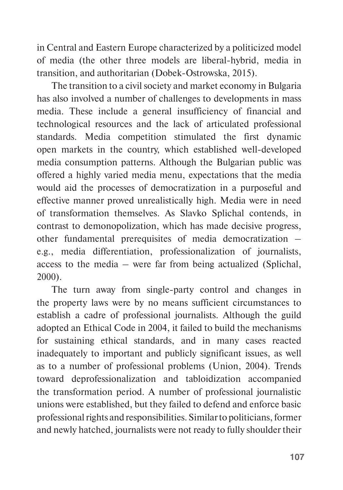in Central and Eastern Europe characterized by a politicized model of media (the other three models are liberal-hybrid, media in transition, and authoritarian (Dobek-Ostrowska, 2015).

The transition to a civil society and market economy in Bulgaria has also involved a number of challenges to developments in mass media. These include a general insufficiency of financial and technological resources and the lack of articulated professional standards. Media competition stimulated the first dynamic open markets in the country, which established well-developed media consumption patterns. Although the Bulgarian public was offered a highly varied media menu, expectations that the media would aid the processes of democratization in a purposeful and effective manner proved unrealistically high. Media were in need of transformation themselves. As Slavko Splichal contends, in contrast to demonopolization, which has made decisive progress, other fundamental prerequisites of media democratization – e.g., media differentiation, professionalization of journalists, access to the media – were far from being actualized (Splichal, 2000).

The turn away from single-party control and changes in the property laws were by no means sufficient circumstances to establish a cadre of professional journalists. Although the guild adopted an Ethical Code in 2004, it failed to build the mechanisms for sustaining ethical standards, and in many cases reacted inadequately to important and publicly significant issues, as well as to a number of professional problems (Union, 2004). Trends toward deprofessionalization and tabloidization accompanied the transformation period. A number of professional journalistic unions were established, but they failed to defend and enforce basic professional rights and responsibilities. Similar to politicians, former and newly hatched, journalists were not ready to fully shoulder their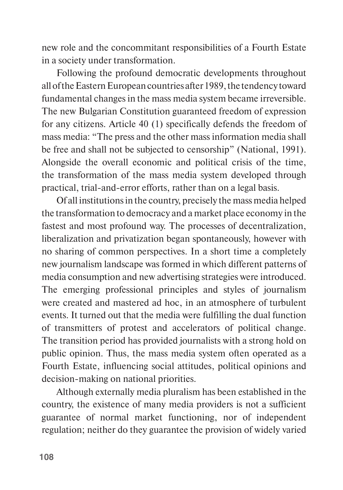new role and the concommitant responsibilities of a Fourth Estate in a society under transformation.

Following the profound democratic developments throughout all of the Eastern European countries after 1989, the tendency toward fundamental changes in the mass media system became irreversible. The new Bulgarian Constitution guaranteed freedom of expression for any citizens. Article 40 (1) specifically defends the freedom of mass media: "The press and the other mass information media shall be free and shall not be subjected to censorship" (National, 1991). Alongside the overall economic and political crisis of the time, the transformation of the mass media system developed through practical, trial-and-error efforts, rather than on a legal basis.

Of all institutions in the country, precisely the mass media helped the transformation to democracy and a market place economy in the fastest and most profound way. The processes of decentralization, liberalization and privatization began spontaneously, however with no sharing of common perspectives. In a short time a completely new journalism landscape was formed in which different patterns of media consumption and new advertising strategies were introduced. The emerging professional principles and styles of journalism were created and mastered ad hoc, in an atmosphere of turbulent events. It turned out that the media were fulfilling the dual function of transmitters of protest and accelerators of political change. The transition period has provided journalists with a strong hold on public opinion. Thus, the mass media system often operated as a Fourth Estate, influencing social attitudes, political opinions and decision-making on national priorities.

Although externally media pluralism has been established in the country, the existence of many media providers is not a sufficient guarantee of normal market functioning, nor of independent regulation; neither do they guarantee the provision of widely varied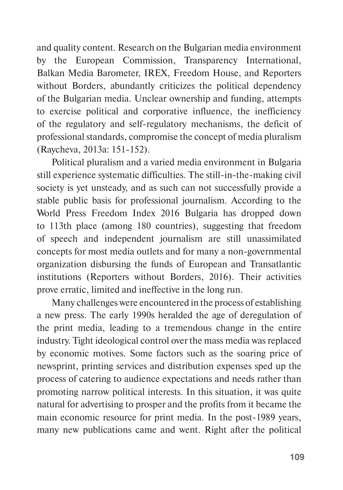and quality content. Research on the Bulgarian media environment by the European Commission, Transparency International, Balkan Media Barometer, IREX, Freedom House, and Reporters without Borders, abundantly criticizes the political dependency of the Bulgarian media. Unclear ownership and funding, attempts to exercise political and corporative influence, the inefficiency of the regulatory and self-regulatory mechanisms, the deficit of professional standards, compromise the concept of media pluralism (Raycheva, 2013a: 151-152).

Political pluralism and a varied media environment in Bulgaria still experience systematic difficulties. The still-in-the-making civil society is yet unsteady, and as such can not successfully provide a stable public basis for professional journalism. According to the World Press Freedom Index 2016 Bulgaria has dropped down to 113th place (among 180 countries), suggesting that freedom of speech and independent journalism are still unassimilated concepts for most media outlets and for many a non-governmental organization disbursing the funds of European and Transatlantic institutions (Reporters without Borders, 2016). Their activities prove erratic, limited and ineffective in the long run.

Many challenges were encountered in the process of establishing a new press. The early 1990s heralded the age of deregulation of the print media, leading to a tremendous change in the entire industry. Tight ideological control over the mass media was replaced by economic motives. Some factors such as the soaring price of newsprint, printing services and distribution expenses sped up the process of catering to audience expectations and needs rather than promoting narrow political interests. In this situation, it was quite natural for advertising to prosper and the profits from it became the main economic resource for print media. In the post-1989 years, many new publications came and went. Right after the political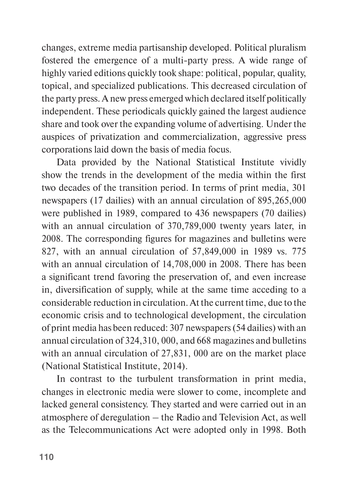changes, extreme media partisanship developed. Political pluralism fostered the emergence of a multi-party press. A wide range of highly varied editions quickly took shape: political, popular, quality, topical, and specialized publications. This decreased circulation of the party press. A new press emerged which declared itself politically independent. These periodicals quickly gained the largest audience share and took over the expanding volume of advertising. Under the auspices of privatization and commercialization, aggressive press corporations laid down the basis of media focus.

Data provided by the National Statistical Institute vividly show the trends in the development of the media within the first two decades of the transition period. In terms of print media, 301 newspapers (17 dailies) with an annual circulation of 895,265,000 were published in 1989, compared to 436 newspapers (70 dailies) with an annual circulation of 370,789,000 twenty years later, in 2008. The corresponding figures for magazines and bulletins were 827, with an annual circulation of 57,849,000 in 1989 vs. 775 with an annual circulation of 14,708,000 in 2008. There has been a significant trend favoring the preservation of, and even increase in, diversification of supply, while at the same time acceding to a considerable reduction in circulation. At the current time, due to the economic crisis and to technological development, the circulation of print media has been reduced: 307 newspapers (54 dailies) with an annual circulation of 324,310, 000, and 668 magazines and bulletins with an annual circulation of 27,831, 000 are on the market place (National Statistical Institute, 2014).

In contrast to the turbulent transformation in print media, changes in electronic media were slower to come, incomplete and lacked general consistency. They started and were carried out in an atmosphere of deregulation – the Radio and Television Act, as well as the Telecommunications Act were adopted only in 1998. Both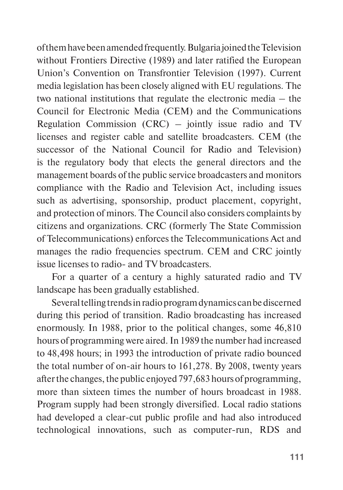of them have been amended frequently. Bulgaria joined the Television without Frontiers Directive (1989) and later ratified the European Union's Convention on Transfrontier Television (1997). Current media legislation has been closely aligned with EU regulations. The two national institutions that regulate the electronic media – the Council for Electronic Media (CEM) and the Communications Regulation Commission (CRC) – jointly issue radio and TV licenses and register cable and satellite broadcasters. CEM (the successor of the National Council for Radio and Television) is the regulatory body that elects the general directors and the management boards of the public service broadcasters and monitors compliance with the Radio and Television Act, including issues such as advertising, sponsorship, product placement, copyright, and protection of minors. The Council also considers complaints by citizens and organizations. CRC (formerly The State Commission of Telecommunications) enforces the Telecommunications Act and manages the radio frequencies spectrum. CEM and CRC jointly issue licenses to radio- and TV broadcasters.

For a quarter of a century a highly saturated radio and TV landscape has been gradually established.

Several telling trends in radio program dynamics can be discerned during this period of transition. Radio broadcasting has increased enormously. In 1988, prior to the political changes, some 46,810 hours of programming were aired. In 1989 the number had increased to 48,498 hours; in 1993 the introduction of private radio bounced the total number of on-air hours to 161,278. By 2008, twenty years after the changes, the public enjoyed 797,683 hours of programming, more than sixteen times the number of hours broadcast in 1988. Program supply had been strongly diversified. Local radio stations had developed a clear-cut public profile and had also introduced technological innovations, such as computer-run, RDS and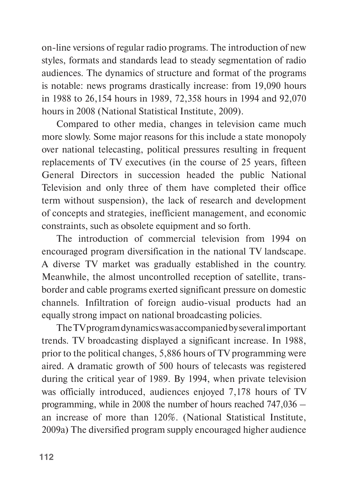on-line versions of regular radio programs. The introduction of new styles, formats and standards lead to steady segmentation of radio audiences. The dynamics of structure and format of the programs is notable: news programs drastically increase: from 19,090 hours in 1988 to 26,154 hours in 1989, 72,358 hours in 1994 and 92,070 hours in 2008 (National Statistical Institute, 2009).

Compared to other media, changes in television came much more slowly. Some major reasons for this include a state monopoly over national telecasting, political pressures resulting in frequent replacements of TV executives (in the course of 25 years, fifteen General Directors in succession headed the public National Television and only three of them have completed their office term without suspension), the lack of research and development of concepts and strategies, inefficient management, and economic constraints, such as obsolete equipment and so forth.

The introduction of commercial television from 1994 on encouraged program diversification in the national TV landscape. A diverse TV market was gradually established in the country. Meanwhile, the almost uncontrolled reception of satellite, transborder and cable programs exerted significant pressure on domestic channels. Infiltration of foreign audio-visual products had an equally strong impact on national broadcasting policies.

The TV program dynamics was accompanied by several important trends. TV broadcasting displayed a significant increase. In 1988, prior to the political changes, 5,886 hours of TV programming were aired. A dramatic growth of 500 hours of telecasts was registered during the critical year of 1989. By 1994, when private television was officially introduced, audiences enjoyed 7,178 hours of TV programming, while in 2008 the number of hours reached 747,036 – an increase of more than 120%. (National Statistical Institute, 2009a) The diversified program supply encouraged higher audience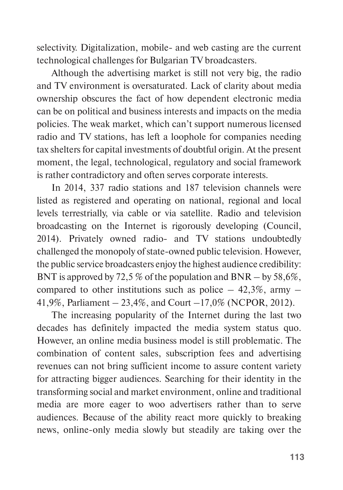selectivity. Digitalization, mobile- and web casting are the current technological challenges for Bulgarian TV broadcasters.

Although the advertising market is still not very big, the radio and TV environment is oversaturated. Lack of clarity about media ownership obscures the fact of how dependent electronic media can be on political and business interests and impacts on the media policies. The weak market, which can't support numerous licensed radio and TV stations, has left a loophole for companies needing tax shelters for capital investments of doubtful origin. At the present moment, the legal, technological, regulatory and social framework is rather contradictory and often serves corporate interests.

In 2014, 337 radio stations and 187 television channels were listed as registered and operating on national, regional and local levels terrestrially, via cable or via satellite. Radio and television broadcasting on the Internet is rigorously developing (Council, 2014). Privately owned radio- and TV stations undoubtedly challenged the monopoly of state-owned public television. However, the public service broadcasters enjoy the highest audience credibility: BNT is approved by 72,5 % of the population and BNR – by 58,6%, compared to other institutions such as police  $-42,3\%$ , army  $-$ 41,9%, Parliament – 23,4%, and Court –17,0% (NCPOR, 2012).

The increasing popularity of the Internet during the last two decades has definitely impacted the media system status quo. However, an online media business model is still problematic. The combination of content sales, subscription fees and advertising revenues can not bring sufficient income to assure content variety for attracting bigger audiences. Searching for their identity in the transforming social and market environment, online and traditional media are more eager to woo advertisers rather than to serve audiences. Because of the ability react more quickly to breaking news, online-only media slowly but steadily are taking over the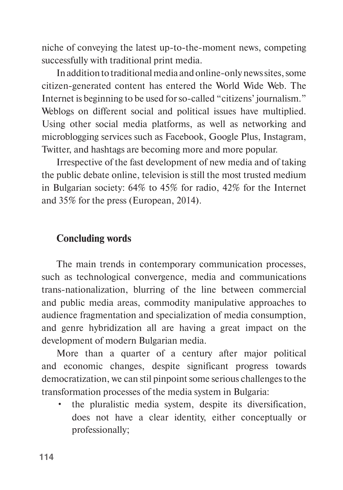niche of conveying the latest up-to-the-moment news, competing successfully with traditional print media.

In addition to traditional media and online-only news sites, some citizen-generated content has entered the World Wide Web. The Internet is beginning to be used for so-called "citizens' journalism." Weblogs on different social and political issues have multiplied. Using other social media platforms, as well as networking and microblogging services such as [Facebook,](http://en.wikipedia.org/wiki/Facebook) [Google Plus](http://en.wikipedia.org/wiki/Google_Plus), [Instagram,](http://en.wikipedia.org/wiki/Instagram) [Twitter,](http://en.wikipedia.org/wiki/Twitter) and hashtags are becoming more and more popular.

Irrespective of the fast development of new media and of taking the public debate online, television is still the most trusted medium in Bulgarian society: 64% to 45% for radio, 42% for the Internet and 35% for the press (European, 2014).

#### **Concluding words**

The main trends in contemporary communication processes, such as technological convergence, media and communications trans-nationalization, blurring of the line between commercial and public media areas, commodity manipulative approaches to audience fragmentation and specialization of media consumption, and genre hybridization all are having a great impact on the development of modern Bulgarian media.

More than a quarter of a century after major political and economic changes, despite significant progress towards democratization, we can stil pinpoint some serious challenges to the transformation processes of the media system in Bulgaria:

• the pluralistic media system, despite its diversification, does not have a clear identity, either conceptually or professionally;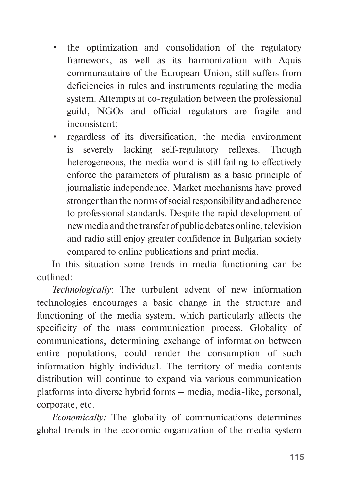- the optimization and consolidation of the regulatory framework, as well as its harmonization with Aquis communautaire of the European Union, still suffers from deficiencies in rules and instruments regulating the media system. Attempts at co-regulation between the professional guild, NGOs and official regulators are fragile and inconsistent;
- regardless of its diversification, the media environment is severely lacking self-regulatory reflexes. Though heterogeneous, the media world is still failing to effectively enforce the parameters of pluralism as a basic principle of journalistic independence. Market mechanisms have proved stronger than the norms of social responsibility and adherence to professional standards. Despite the rapid development of new media and the transfer of public debates online, television and radio still enjoy greater confidence in Bulgarian society compared to online publications and print media.

In this situation some trends in media functioning can be outlined:

*Technologically*: The turbulent advent of new information technologies encourages a basic change in the structure and functioning of the media system, which particularly affects the specificity of the mass communication process. Globality of communications, determining exchange of information between entire populations, could render the consumption of such information highly individual. The territory of media contents distribution will continue to expand via various communication platforms into diverse hybrid forms – media, media-like, personal, corporate, etc.

*Economically:* The globality of communications determines global trends in the economic organization of the media system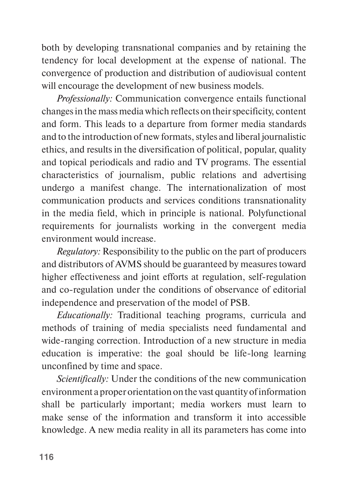both by developing transnational companies and by retaining the tendency for local development at the expense of national. The convergence of production and distribution of audiovisual content will encourage the development of new business models.

*Professionally:* Communication convergence entails functional changes in the mass media which reflects on their specificity, content and form. This leads to a departure from former media standards and to the introduction of new formats, styles and liberal journalistic ethics, and results in the diversification of political, popular, quality and topical periodicals and radio and TV programs. The essential characteristics of journalism, public relations and advertising undergo a manifest change. The internationalization of most communication products and services conditions transnationality in the media field, which in principle is national. Polyfunctional requirements for journalists working in the convergent media environment would increase.

*Regulatory:* Responsibility to the public on the part of producers and distributors of AVMS should be guaranteed by measures toward higher effectiveness and joint efforts at regulation, self-regulation and co-regulation under the conditions of observance of editorial independence and preservation of the model of PSB.

*Educationally:* Traditional teaching programs, curricula and methods of training of media specialists need fundamental and wide-ranging correction. Introduction of a new structure in media education is imperative: the goal should be life-long learning unconfined by time and space.

*Scientifically:* Under the conditions of the new communication environment a proper orientation on the vast quantity of information shall be particularly important; media workers must learn to make sense of the information and transform it into accessible knowledge. A new media reality in all its parameters has come into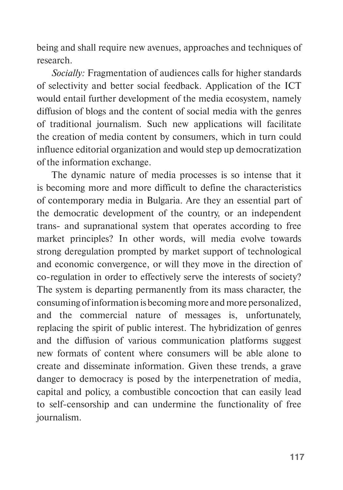being and shall require new avenues, approaches and techniques of research.

*Socially:* Fragmentation of audiences calls for higher standards of selectivity and better social feedback. Application of the ICT would entail further development of the media ecosystem, namely diffusion of blogs and the content of social media with the genres of traditional journalism. Such new applications will facilitate the creation of media content by consumers, which in turn could influence editorial organization and would step up democratization of the information exchange.

The dynamic nature of media processes is so intense that it is becoming more and more difficult to define the characteristics of contemporary media in Bulgaria. Are they an essential part of the democratic development of the country, or an independent trans- and supranational system that operates according to free market principles? In other words, will media evolve towards strong deregulation prompted by market support of technological and economic convergence, or will they move in the direction of co-regulation in order to effectively serve the interests of society? The system is departing permanently from its mass character, the consuming of information is becoming more and more personalized, and the commercial nature of messages is, unfortunately, replacing the spirit of public interest. The hybridization of genres and the diffusion of various communication platforms suggest new formats of content where consumers will be able alone to create and disseminate information. Given these trends, a grave danger to democracy is posed by the interpenetration of media, capital and policy, a combustible concoction that can easily lead to self-censorship and can undermine the functionality of free journalism.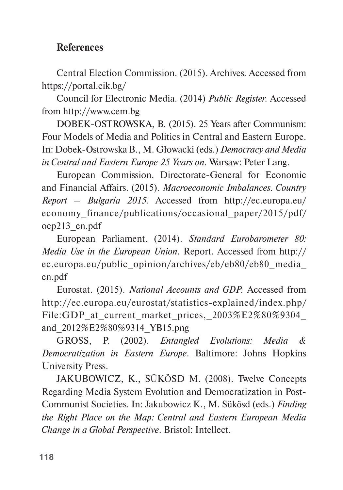# **References**

Central Election Commission. (2015). Archives*.* Accessed from <https://portal.cik.bg/>

Council for Electronic Media. (2014) *Public Register.* Accessed from [http://www.cem.bg](file:///I:/BOOK_Nonna/World_of_Media_2017/ )

DOBEK-OSTROWSKA, B. (2015). 25 Years after Communism: Four Models of Media and Politics in Central and Eastern Europe. In: Dobek-Ostrowska B., M. Głowacki (eds.) *Democracy and Media in Central and Eastern Europe 25 Years on.* Warsaw: Peter Lang.

European Commission. Directorate-General for Economic and Financial Affairs. (2015). *Macroeconomic Imbalances. Country Report – Bulgaria 2015.* Accessed from http://ec.europa.eu/ economy\_finance/publications/occasional\_paper/2015/pdf/ ocp213\_en.pdf

European Parliament. (2014). *Standard Eurobarometer 80: Media Use in the European Union.* Report. Accessed from [http://](http://ec.europa.eu/public_opinion/archives/eb/eb80/eb80_media_en.pdf) [ec.europa.eu/public\\_opinion/archives/eb/eb80/eb80\\_media\\_](http://ec.europa.eu/public_opinion/archives/eb/eb80/eb80_media_en.pdf) [en.pdf](http://ec.europa.eu/public_opinion/archives/eb/eb80/eb80_media_en.pdf)

Eurostat. (2015). *National Accounts and GDP.* Accessed from http://ec.europa.eu/eurostat/statistics-explained/index.php/ File:GDP at current market prices,  $2003\%E2\%80\%9304$ and\_2012%E2%80%9314\_YB15.png

GROSS, P. (2002). *Entangled Evolutions: Media & Democratization in Eastern Europe*. Baltimore: Johns Hopkins University Press.

JAKUBOWICZ, K., SÜKÖSD M. (2008). Twelve Concepts Regarding Media System Evolution and Democratization in Post-Communist Societies. In: Jakubowicz K., M. Sükösd (eds.) *Finding the Right Place on the Map: Central and Eastern European Media Change in a Global Perspective*. Bristol: Intellect.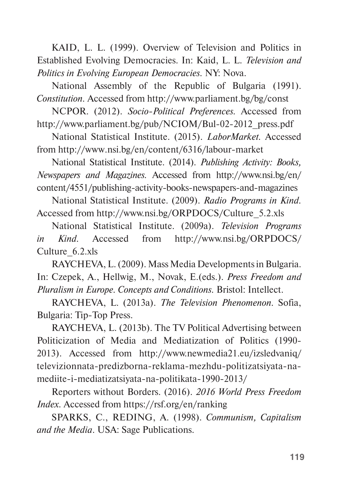KAID, L. L. (1999). Overview of Television and Politics in Established Evolving Democracies. In: Kaid, L. L. *Television and Politics in Evolving European Democracies.* NY: Nova.

National Assembly of the Republic of Bulgaria (1991). *Constitution.* Accessed from http://www.parliament.bg/bg/const

NCPOR. (2012). *Socio-Political Preferences.* Accessed from [http://www.parliament.bg/pub/NCIOM/Bul-02-2012\\_press.pdf](http://www.parliament.bg/pub/NCIOM/Bul-02-2012_press.pdf)

National Statistical Institute. (2015). *LaborMarket.* Accessed from<http://www.nsi.bg/en/content/6316/labour-market>

National Statistical Institute. (2014). *Publishing Activity: Books, Newspapers and Magazines.* Accessed from [http://www.nsi.bg/en/](http://www.nsi.bg/en/content/4551/publishing-activity-books-newspapers-and-magazines) [content/4551/publishing-activity-books-newspapers-and-magazines](http://www.nsi.bg/en/content/4551/publishing-activity-books-newspapers-and-magazines)

National Statistical Institute. (2009). *Radio Programs in Kind.*  Accessed from [http://www.nsi.bg/ORPDOCS/Culture\\_5.2.xls](http://www.nsi.bg/ORPDOCS/Culture_5.2.xls)

National Statistical Institute. (2009a). *Television Programs in Kind.* Accessed from [http://www.nsi.bg/ORPDOCS/](file:///I:/BOOK_Nonna/World_of_Media_2017/ ) [Culture\\_6.2.xls](file:///I:/BOOK_Nonna/World_of_Media_2017/ )

RAYCHEVA, L. (2009). Mass Media Developments in Bulgaria. In: Czepek, A., Hellwig, M., Novak, E.(eds.). *Press Freedom and Pluralism in Europe. Concepts and Conditions.* Bristol: Intellect.

RAYCHEVA, L. (2013a). *The Television Phenomenon.* Sofia, Bulgaria: Tip-Top Press.

RAYCHEVA, L. (2013b). The TV Political Advertising between Politicization of Media and Mediatization of Politics (1990- 2013). Accessed from http://www.newmedia21.eu/izsledvaniq/ televizionnata-predizborna-reklama-mezhdu-politizatsiyata-namediite-i-mediatizatsiyata-na-politikata-1990-2013/

Reporters without Borders. (2016). *2016 World Press Freedom Index.* Accessed from https://rsf.org/en/ranking

SPARKS, C., REDING, A. (1998). *Communism, Capitalism and the Media*. USA: Sage Publications.